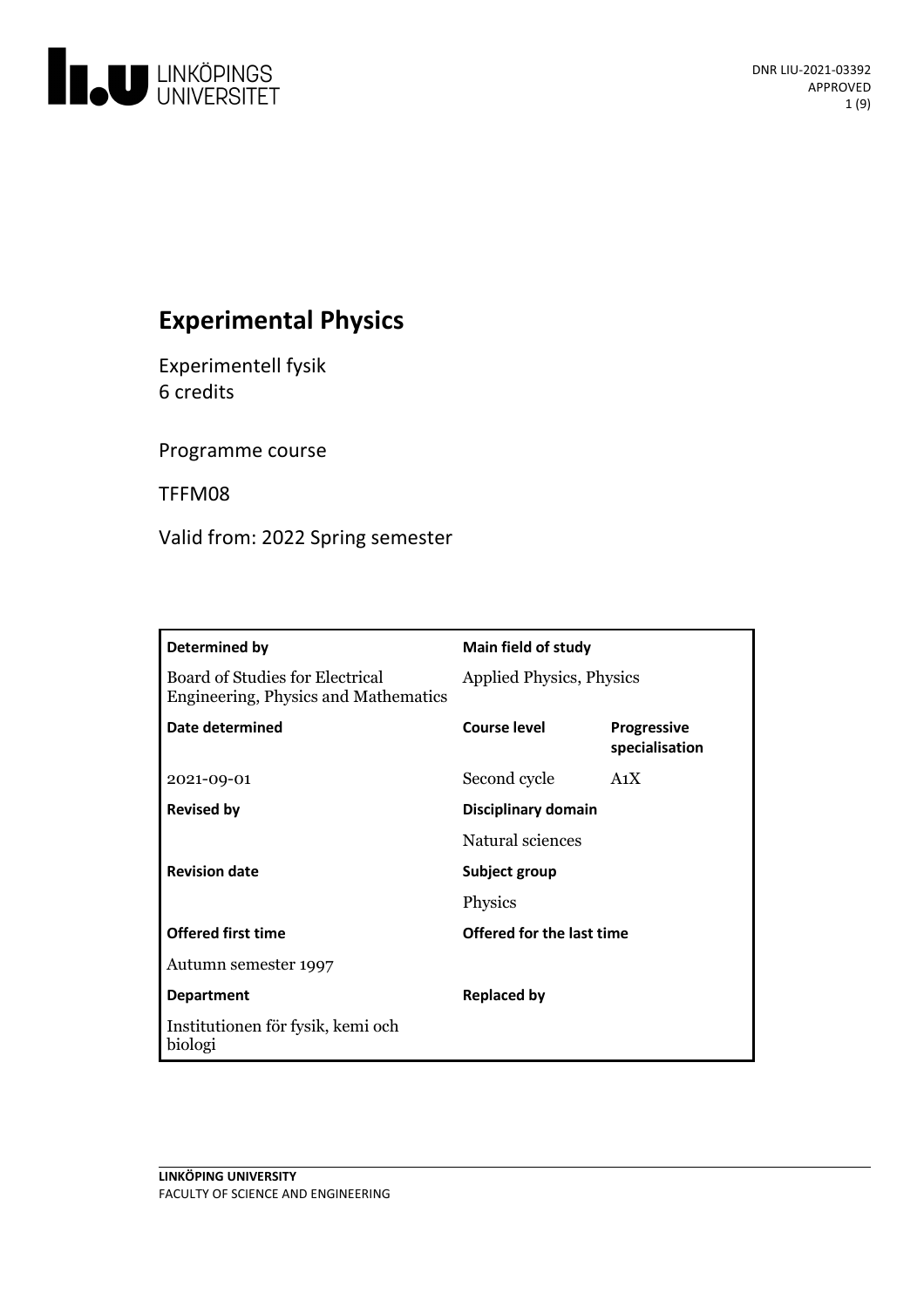

# **Experimental Physics**

Experimentell fysik 6 credits

Programme course

TFFM08

Valid from: 2022 Spring semester

| Determined by                                                                  | <b>Main field of study</b>      |                                      |
|--------------------------------------------------------------------------------|---------------------------------|--------------------------------------|
| Board of Studies for Electrical<br><b>Engineering, Physics and Mathematics</b> | <b>Applied Physics, Physics</b> |                                      |
| Date determined                                                                | Course level                    | <b>Progressive</b><br>specialisation |
| 2021-09-01                                                                     | Second cycle                    | A <sub>1</sub> X                     |
| <b>Revised by</b>                                                              | Disciplinary domain             |                                      |
|                                                                                | Natural sciences                |                                      |
| <b>Revision date</b>                                                           | Subject group                   |                                      |
|                                                                                | Physics                         |                                      |
| <b>Offered first time</b>                                                      | Offered for the last time       |                                      |
| Autumn semester 1997                                                           |                                 |                                      |
| <b>Department</b>                                                              | <b>Replaced by</b>              |                                      |
| Institutionen för fysik, kemi och<br>biologi                                   |                                 |                                      |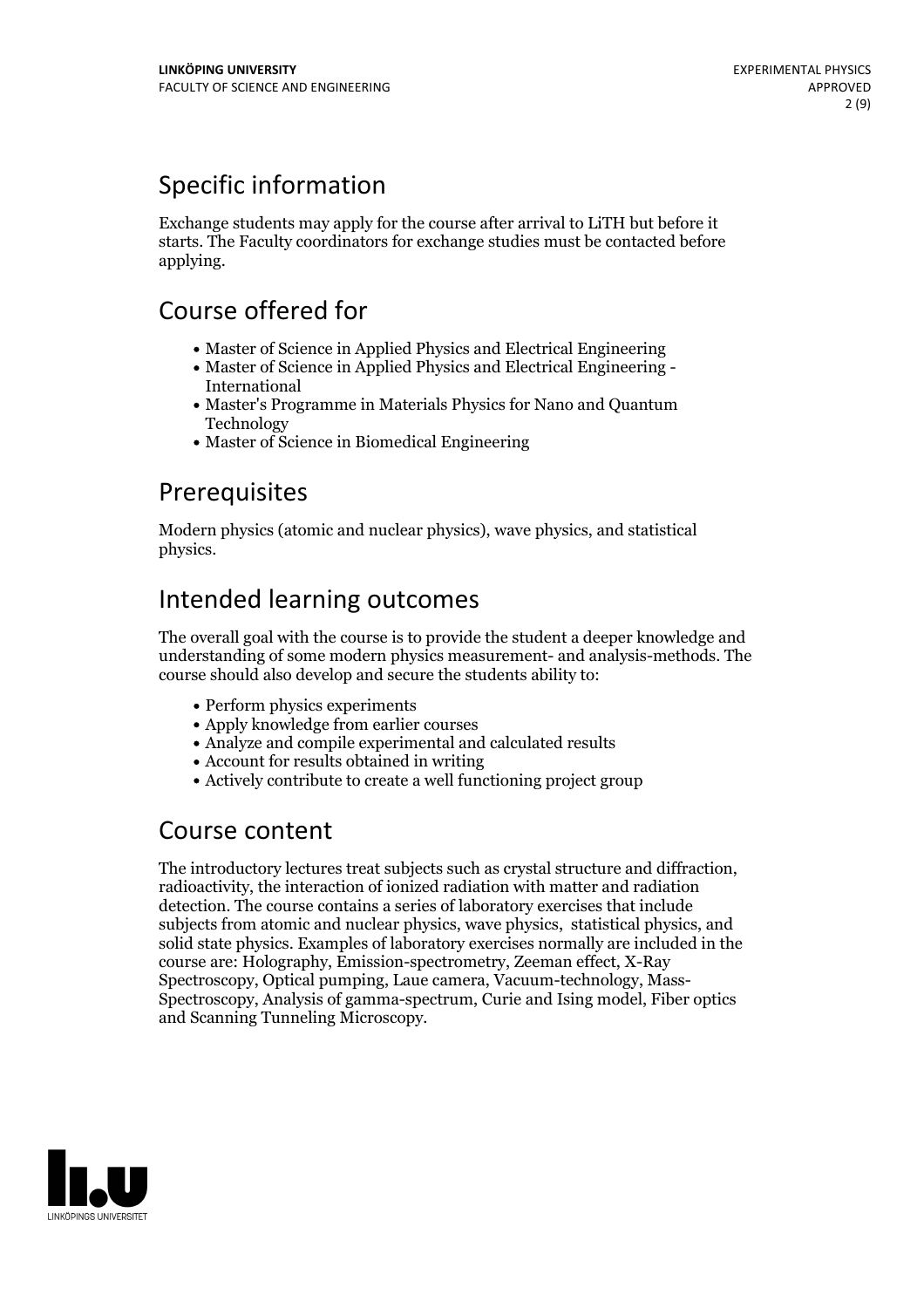# Specific information

Exchange students may apply for the course after arrival to LiTH but before it starts. The Faculty coordinators for exchange studies must be contacted before applying.

## Course offered for

- Master of Science in Applied Physics and Electrical Engineering
- Master of Science in Applied Physics and Electrical Engineering International
- Master's Programme in Materials Physics for Nano and Quantum Technology
- Master of Science in Biomedical Engineering

## Prerequisites

Modern physics (atomic and nuclear physics), wave physics, and statistical physics.

# Intended learning outcomes

The overall goal with the course is to provide the student a deeper knowledge and understanding of some modern physics measurement- and analysis-methods. The course should also develop and secure the students ability to:

- Perform physics experiments
- Apply knowledge from earlier courses
- Analyze and compile experimental and calculated results
- Account for results obtained in writing
- Actively contribute to create a well functioning project group

## Course content

The introductory lectures treat subjects such as crystal structure and diffraction, radioactivity, the interaction of ionized radiation with matter and radiation detection. The course contains a series of laboratory exercises that include subjects from atomic and nuclear physics, wave physics, statistical physics, and solid state physics. Examples of laboratory exercises normally are included in the course are: Holography, Emission-spectrometry, Zeeman effect, X-Ray Spectroscopy, Optical pumping, Laue camera, Vacuum-technology, Mass- Spectroscopy, Analysis of gamma-spectrum, Curie and Ising model, Fiber optics and Scanning Tunneling Microscopy.

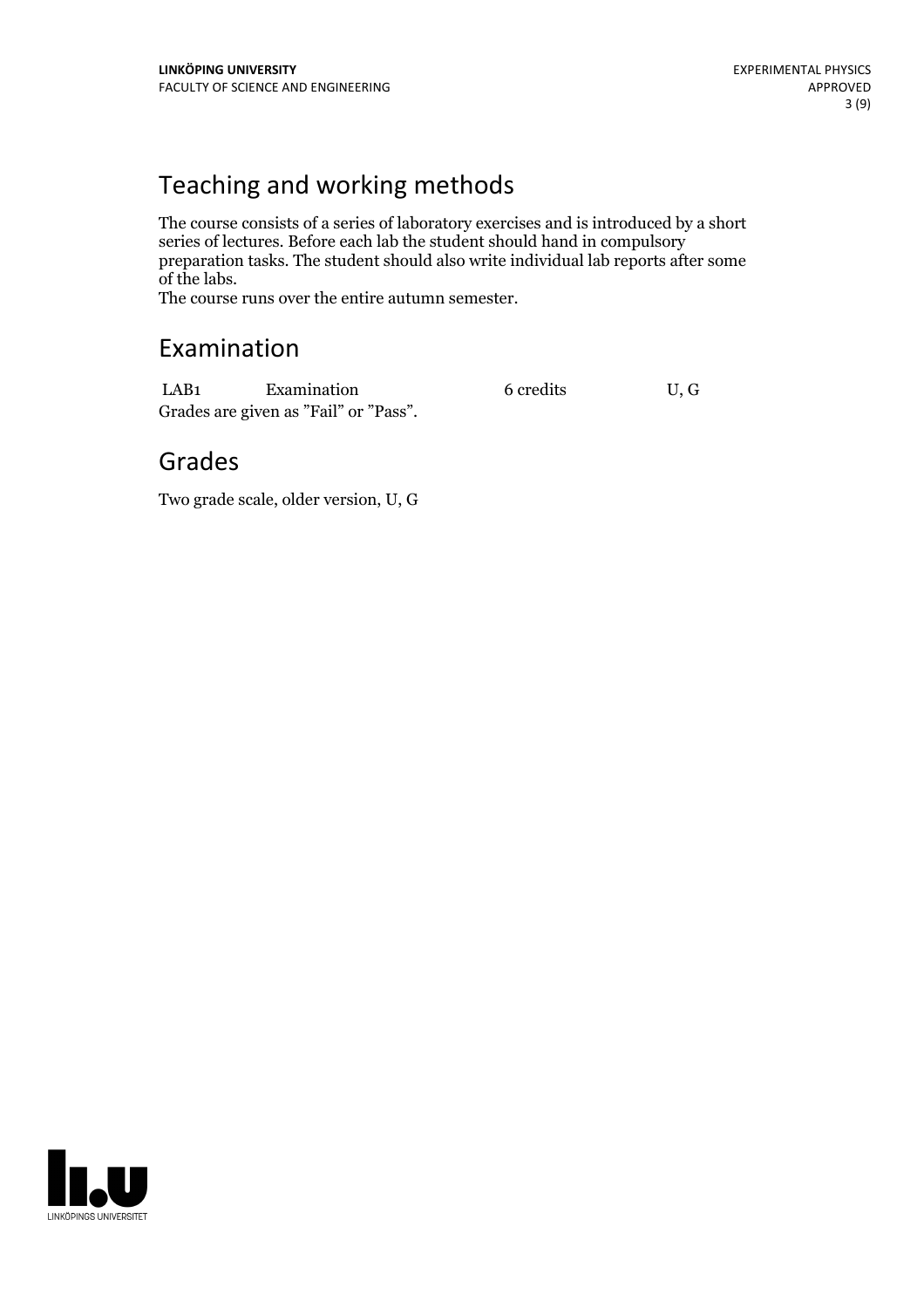# Teaching and working methods

The course consists of a series of laboratory exercises and is introduced by a short series of lectures. Before each lab the student should hand in compulsory preparation tasks. The student should also write individual lab reports after some

The course runs over the entire autumn semester.

## Examination

LAB1 Examination 6 credits U, G Grades are given as"Fail" or "Pass".

## Grades

Two grade scale, older version, U, G

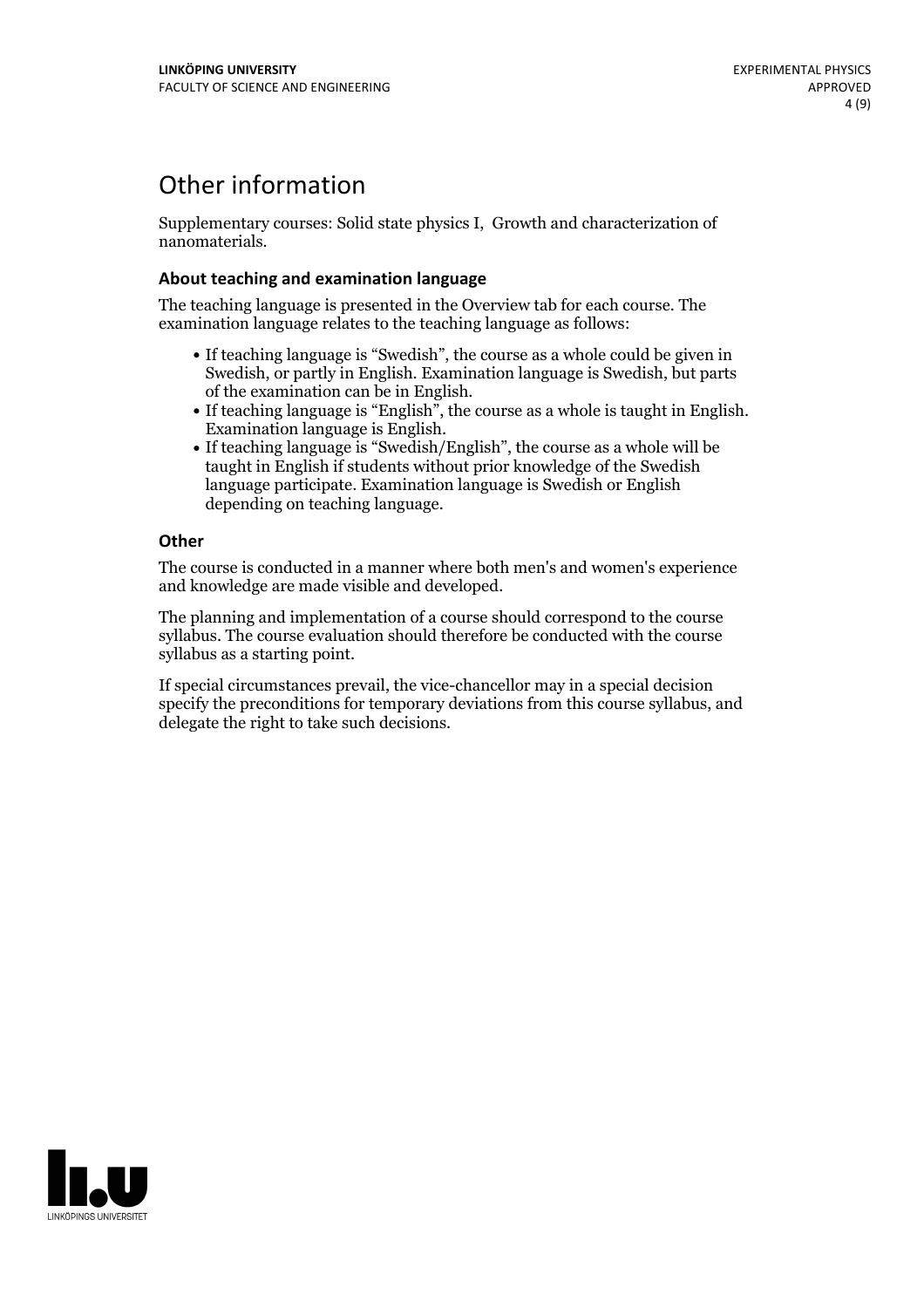## Other information

Supplementary courses: Solid state physics I, Growth and characterization of nanomaterials.

### **About teaching and examination language**

The teaching language is presented in the Overview tab for each course. The examination language relates to the teaching language as follows:

- If teaching language is "Swedish", the course as a whole could be given in Swedish, or partly in English. Examination language is Swedish, but parts
- of the examination can be in English. If teaching language is "English", the course as <sup>a</sup> whole is taught in English. Examination language is English. If teaching language is "Swedish/English", the course as <sup>a</sup> whole will be
- taught in English if students without prior knowledge of the Swedish language participate. Examination language is Swedish or English depending on teaching language.

### **Other**

The course is conducted in a manner where both men's and women's experience and knowledge are made visible and developed.

The planning and implementation of a course should correspond to the course syllabus. The course evaluation should therefore be conducted with the course syllabus as a starting point.

If special circumstances prevail, the vice-chancellor may in a special decision specify the preconditions for temporary deviations from this course syllabus, and delegate the right to take such decisions.

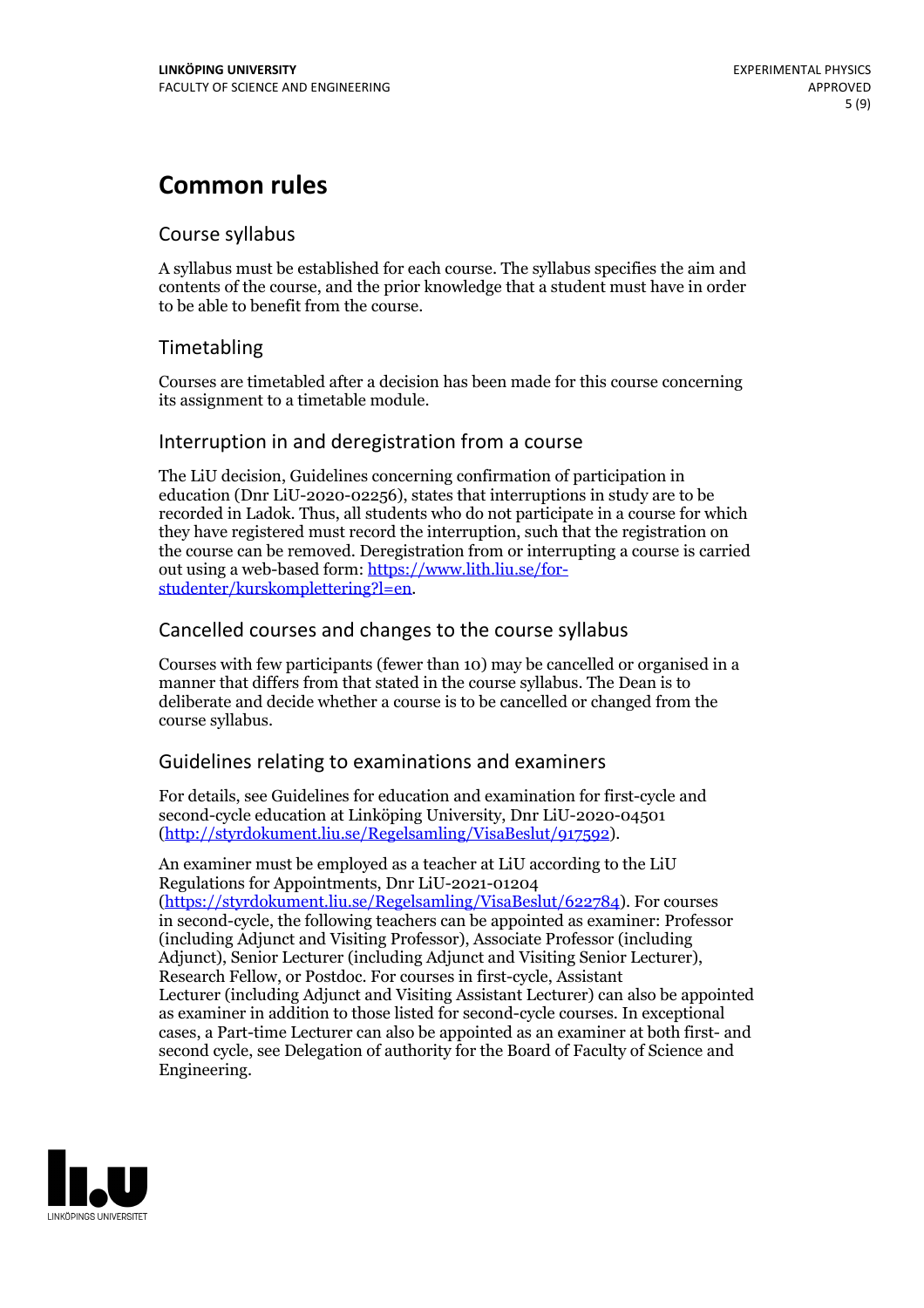# **Common rules**

### Course syllabus

A syllabus must be established for each course. The syllabus specifies the aim and contents of the course, and the prior knowledge that a student must have in order to be able to benefit from the course.

## Timetabling

Courses are timetabled after a decision has been made for this course concerning its assignment to a timetable module.

### Interruption in and deregistration from a course

The LiU decision, Guidelines concerning confirmation of participation in education (Dnr LiU-2020-02256), states that interruptions in study are to be recorded in Ladok. Thus, all students who do not participate in a course for which they have registered must record the interruption, such that the registration on the course can be removed. Deregistration from or interrupting a course is carried out using <sup>a</sup> web-based form: https://www.lith.liu.se/for- [studenter/kurskomplettering?l=en.](https://www.lith.liu.se/for-studenter/kurskomplettering?l=en)

## Cancelled courses and changes to the course syllabus

Courses with few participants (fewer than 10) may be cancelled or organised in a manner that differs from that stated in the course syllabus. The Dean is to deliberate and decide whether a course is to be cancelled or changed from the course syllabus.

## Guidelines relating to examinations and examiners

For details, see Guidelines for education and examination for first-cycle and second-cycle education at Linköping University, Dnr LiU-2020-04501 [\(http://styrdokument.liu.se/Regelsamling/VisaBeslut/917592\)](http://styrdokument.liu.se/Regelsamling/VisaBeslut/917592).

An examiner must be employed as a teacher at LiU according to the LiU Regulations for Appointments, Dnr LiU-2021-01204 [\(https://styrdokument.liu.se/Regelsamling/VisaBeslut/622784](https://styrdokument.liu.se/Regelsamling/VisaBeslut/622784)). For courses in second-cycle, the following teachers can be appointed as examiner: Professor (including Adjunct and Visiting Professor), Associate Professor (including Adjunct), Senior Lecturer (including Adjunct and Visiting Senior Lecturer), Research Fellow, or Postdoc. For courses in first-cycle, Assistant Lecturer (including Adjunct and Visiting Assistant Lecturer) can also be appointed as examiner in addition to those listed for second-cycle courses. In exceptional cases, a Part-time Lecturer can also be appointed as an examiner at both first- and second cycle, see Delegation of authority for the Board of Faculty of Science and Engineering.

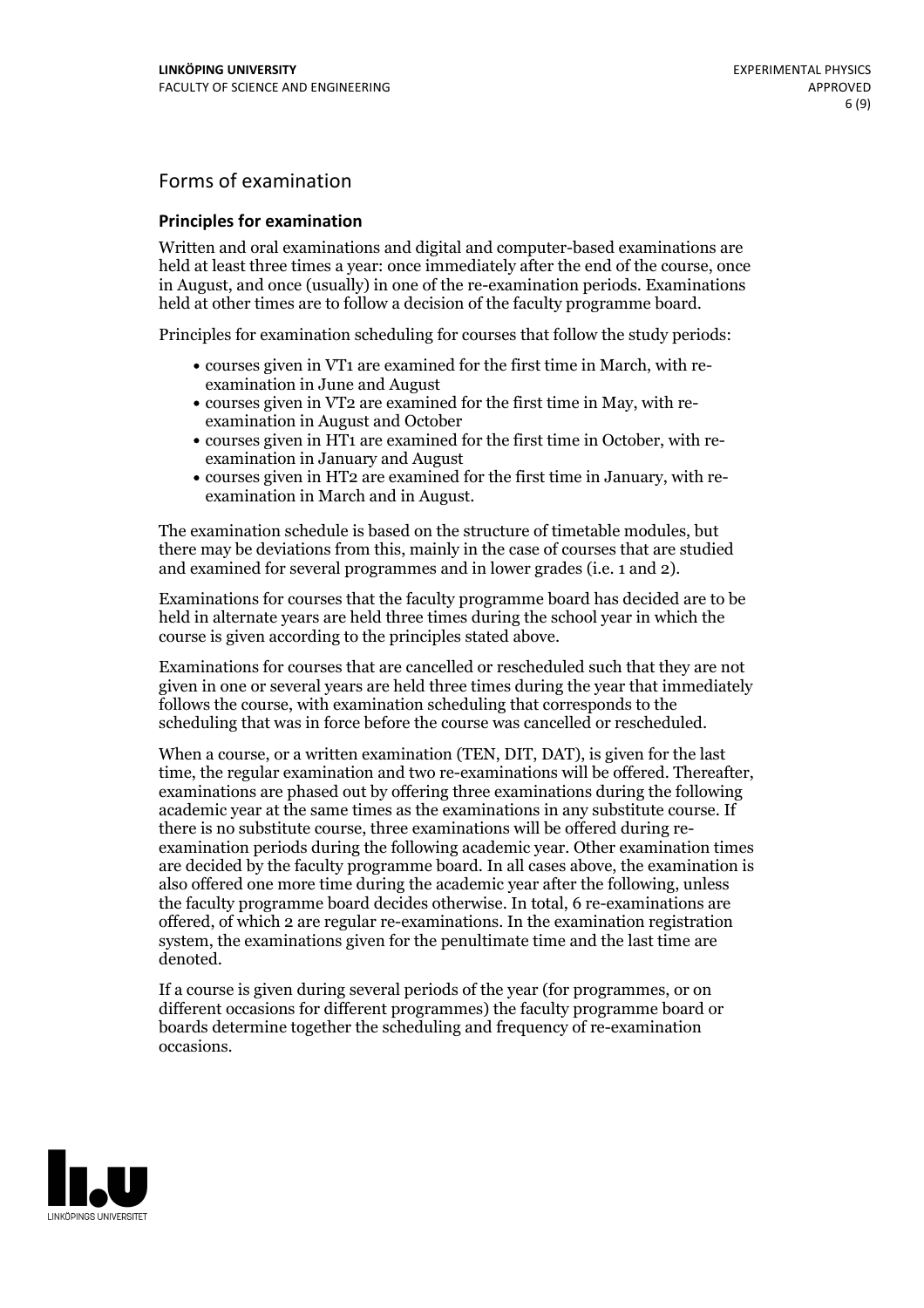## Forms of examination

#### **Principles for examination**

Written and oral examinations and digital and computer-based examinations are held at least three times a year: once immediately after the end of the course, once in August, and once (usually) in one of the re-examination periods. Examinations held at other times are to follow a decision of the faculty programme board.

Principles for examination scheduling for courses that follow the study periods:

- courses given in VT1 are examined for the first time in March, with re-examination in June and August
- courses given in VT2 are examined for the first time in May, with re-examination in August and October
- courses given in HT1 are examined for the first time in October, with re-examination in January and August
- courses given in HT2 are examined for the first time in January, with re-examination in March and in August.

The examination schedule is based on the structure of timetable modules, but there may be deviations from this, mainly in the case of courses that are studied and examined for several programmes and in lower grades (i.e. 1 and 2).

Examinations for courses that the faculty programme board has decided are to be held in alternate years are held three times during the school year in which the course is given according to the principles stated above.

Examinations for courses that are cancelled orrescheduled such that they are not given in one or several years are held three times during the year that immediately follows the course, with examination scheduling that corresponds to the scheduling that was in force before the course was cancelled or rescheduled.

When a course, or a written examination (TEN, DIT, DAT), is given for the last time, the regular examination and two re-examinations will be offered. Thereafter, examinations are phased out by offering three examinations during the following academic year at the same times as the examinations in any substitute course. If there is no substitute course, three examinations will be offered during re- examination periods during the following academic year. Other examination times are decided by the faculty programme board. In all cases above, the examination is also offered one more time during the academic year after the following, unless the faculty programme board decides otherwise. In total, 6 re-examinations are offered, of which 2 are regular re-examinations. In the examination registration system, the examinations given for the penultimate time and the last time are denoted.

If a course is given during several periods of the year (for programmes, or on different occasions for different programmes) the faculty programme board or boards determine together the scheduling and frequency of re-examination occasions.

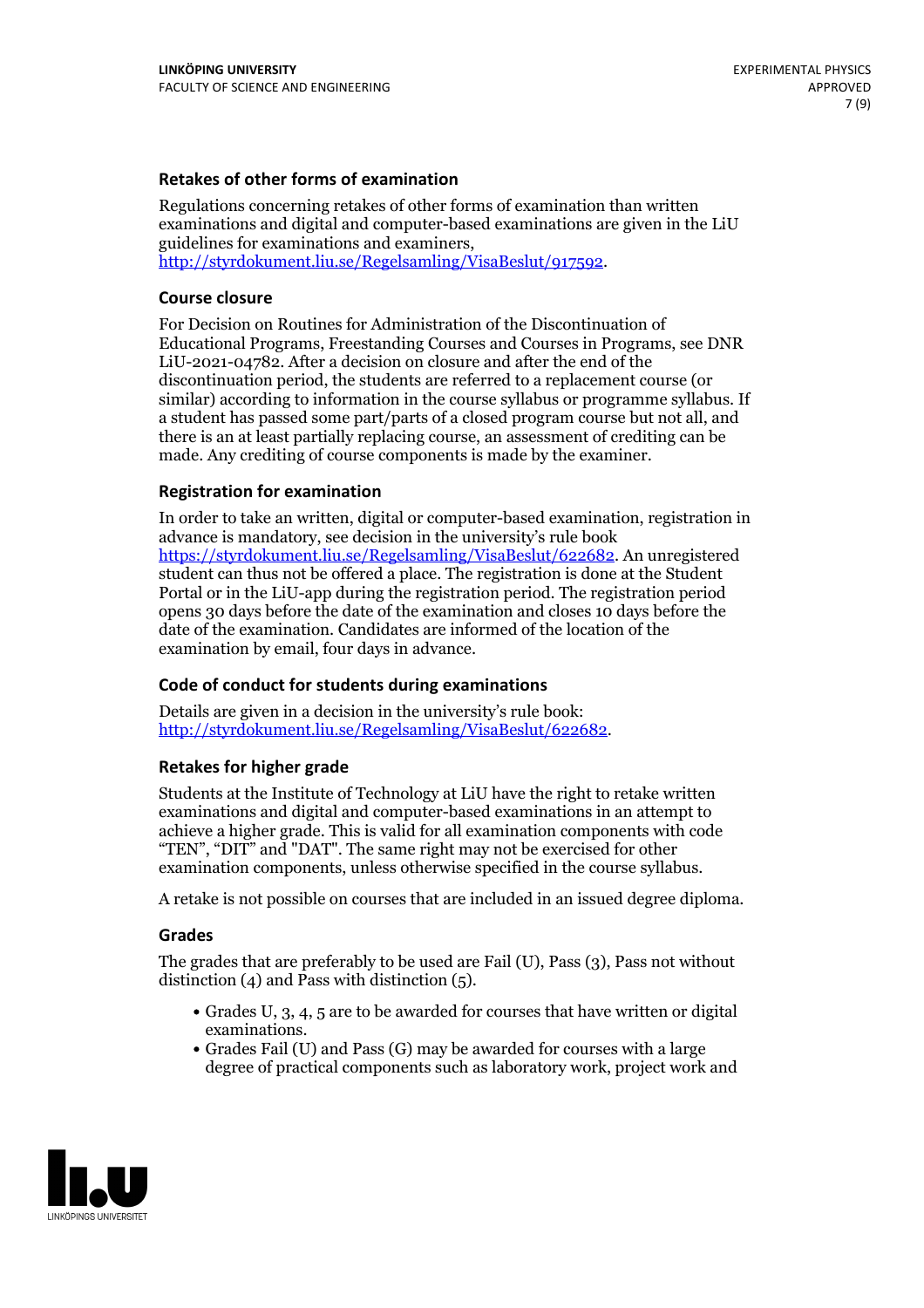### **Retakes of other forms of examination**

Regulations concerning retakes of other forms of examination than written examinations and digital and computer-based examinations are given in the LiU guidelines for examinations and examiners, [http://styrdokument.liu.se/Regelsamling/VisaBeslut/917592.](http://styrdokument.liu.se/Regelsamling/VisaBeslut/917592)

#### **Course closure**

For Decision on Routines for Administration of the Discontinuation of Educational Programs, Freestanding Courses and Courses in Programs, see DNR LiU-2021-04782. After a decision on closure and after the end of the discontinuation period, the students are referred to a replacement course (or similar) according to information in the course syllabus or programme syllabus. If a student has passed some part/parts of a closed program course but not all, and there is an at least partially replacing course, an assessment of crediting can be made. Any crediting of course components is made by the examiner.

#### **Registration for examination**

In order to take an written, digital or computer-based examination, registration in advance is mandatory, see decision in the university's rule book [https://styrdokument.liu.se/Regelsamling/VisaBeslut/622682.](https://styrdokument.liu.se/Regelsamling/VisaBeslut/622682) An unregistered student can thus not be offered a place. The registration is done at the Student Portal or in the LiU-app during the registration period. The registration period opens 30 days before the date of the examination and closes 10 days before the date of the examination. Candidates are informed of the location of the examination by email, four days in advance.

#### **Code of conduct for students during examinations**

Details are given in a decision in the university's rule book: <http://styrdokument.liu.se/Regelsamling/VisaBeslut/622682>.

#### **Retakes for higher grade**

Students at the Institute of Technology at LiU have the right to retake written examinations and digital and computer-based examinations in an attempt to achieve a higher grade. This is valid for all examination components with code "TEN", "DIT" and "DAT". The same right may not be exercised for other examination components, unless otherwise specified in the course syllabus.

A retake is not possible on courses that are included in an issued degree diploma.

#### **Grades**

The grades that are preferably to be used are Fail (U), Pass (3), Pass not without distinction  $(4)$  and Pass with distinction  $(5)$ .

- Grades U, 3, 4, 5 are to be awarded for courses that have written or digital examinations.<br>• Grades Fail (U) and Pass (G) may be awarded for courses with a large
- degree of practical components such as laboratory work, project work and

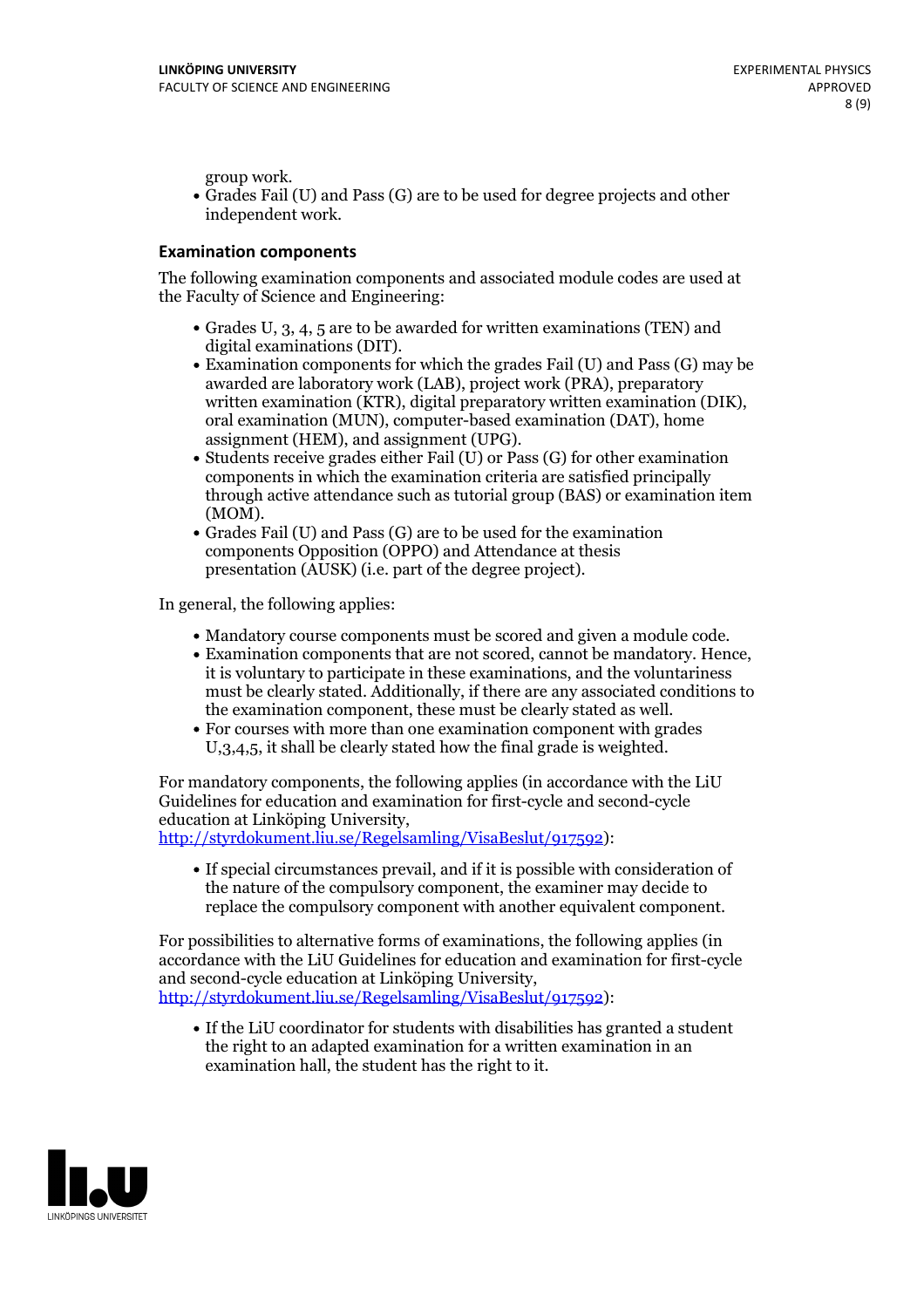group work.<br>• Grades Fail (U) and Pass (G) are to be used for degree projects and other independent work.

#### **Examination components**

The following examination components and associated module codes are used at the Faculty of Science and Engineering:

- Grades U, 3, 4, 5 are to be awarded for written examinations (TEN) and
- digital examinations (DIT).<br>• Examination components for which the grades Fail (U) and Pass (G) may be awarded are laboratory work (LAB), project work (PRA), preparatory written examination (KTR), digital preparatory written examination (DIK), oral examination (MUN), computer-based examination (DAT), home
- assignment (HEM), and assignment (UPG).<br>• Students receive grades either Fail (U) or Pass (G) for other examination components in which the examination criteria are satisfied principally through active attendance such as tutorial group (BAS) or examination item
- (MOM).<br>• Grades Fail (U) and Pass (G) are to be used for the examination components Opposition (OPPO) and Attendance at thesis presentation (AUSK) (i.e. part of the degree project).

In general, the following applies:

- 
- Mandatory course components must be scored and given <sup>a</sup> module code. Examination components that are not scored, cannot be mandatory. Hence, it is voluntary to participate in these examinations, and the voluntariness must be clearly stated. Additionally, if there are any associated conditions to
- the examination component, these must be clearly stated as well.<br>• For courses with more than one examination component with grades U,3,4,5, it shall be clearly stated how the final grade is weighted.

For mandatory components, the following applies (in accordance with the LiU Guidelines for education and examination for first-cycle and second-cycle education at Linköping University,<br>[http://styrdokument.liu.se/Regelsamling/VisaBeslut/917592\)](http://styrdokument.liu.se/Regelsamling/VisaBeslut/917592):

If special circumstances prevail, and if it is possible with consideration of the nature of the compulsory component, the examiner may decide to replace the compulsory component with another equivalent component.

For possibilities to alternative forms of examinations, the following applies (in accordance with the LiU Guidelines for education and examination for first-cycle [http://styrdokument.liu.se/Regelsamling/VisaBeslut/917592\)](http://styrdokument.liu.se/Regelsamling/VisaBeslut/917592):

If the LiU coordinator for students with disabilities has granted a student the right to an adapted examination for a written examination in an examination hall, the student has the right to it.